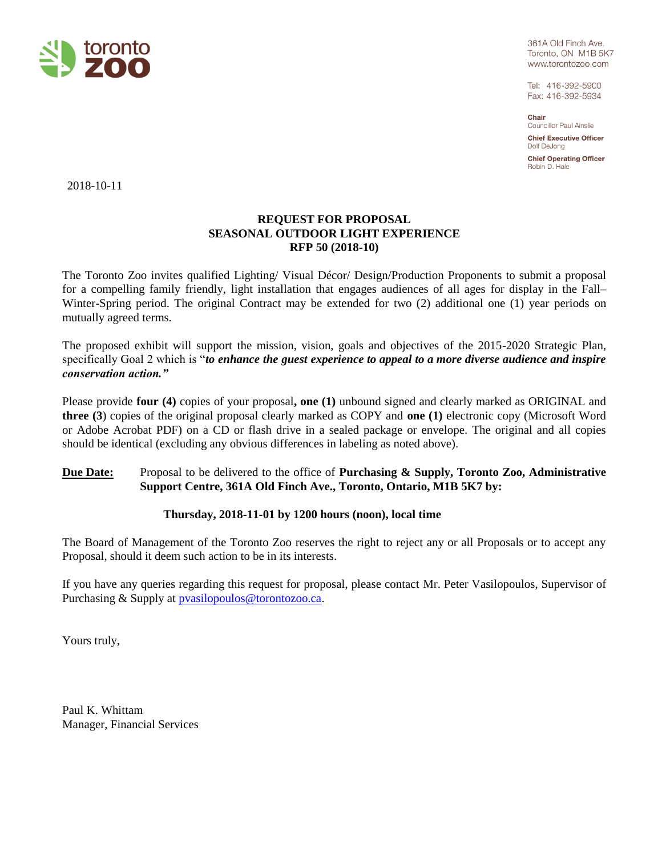

361A Old Finch Ave. Toronto, ON M1B 5K7 www.torontozoo.com

Tel: 416-392-5900 Fax: 416-392-5934

Chair Councillor Paul Ainslie

**Chief Executive Officer** Dolf DeJong

**Chief Operating Officer** Robin D. Hale

2018-10-11

# **REQUEST FOR PROPOSAL SEASONAL OUTDOOR LIGHT EXPERIENCE RFP 50 (2018-10)**

The Toronto Zoo invites qualified Lighting/ Visual Décor/ Design/Production Proponents to submit a proposal for a compelling family friendly, light installation that engages audiences of all ages for display in the Fall– Winter-Spring period. The original Contract may be extended for two (2) additional one (1) year periods on mutually agreed terms.

The proposed exhibit will support the mission, vision, goals and objectives of the 2015-2020 Strategic Plan, specifically Goal 2 which is "*to enhance the guest experience to appeal to a more diverse audience and inspire conservation action."*

Please provide **four (4)** copies of your proposal**, one (1)** unbound signed and clearly marked as ORIGINAL and **three (3**) copies of the original proposal clearly marked as COPY and **one (1)** electronic copy (Microsoft Word or Adobe Acrobat PDF) on a CD or flash drive in a sealed package or envelope. The original and all copies should be identical (excluding any obvious differences in labeling as noted above).

# **Due Date:** Proposal to be delivered to the office of **Purchasing & Supply, Toronto Zoo, Administrative Support Centre, 361A Old Finch Ave., Toronto, Ontario, M1B 5K7 by:**

# **Thursday, 2018-11-01 by 1200 hours (noon), local time**

The Board of Management of the Toronto Zoo reserves the right to reject any or all Proposals or to accept any Proposal, should it deem such action to be in its interests.

If you have any queries regarding this request for proposal, please contact Mr. Peter Vasilopoulos, Supervisor of Purchasing & Supply at [pvasilopoulos@torontozoo.ca.](mailto:pvasilopoulos@torontozoo.ca)

Yours truly,

Paul K. Whittam Manager, Financial Services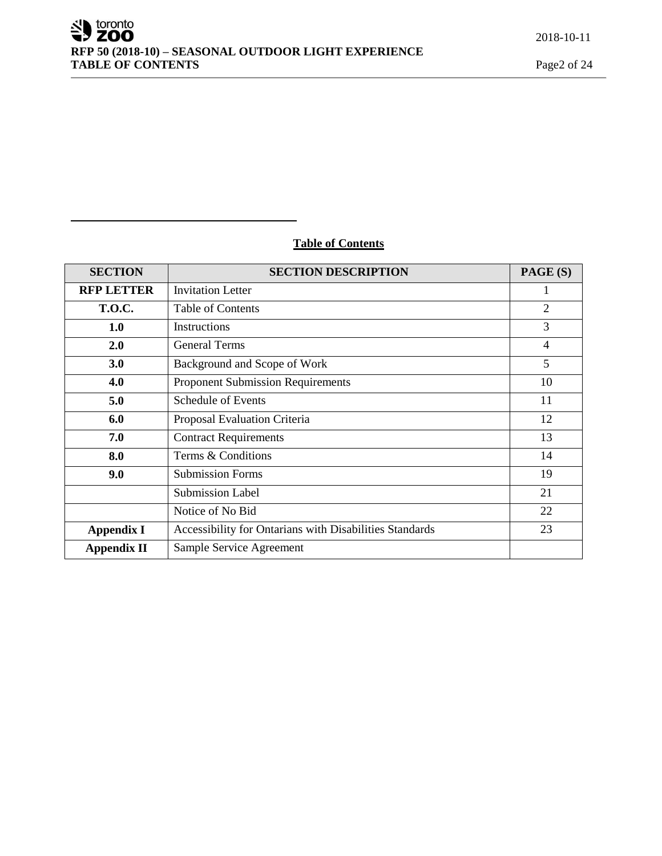# **Table of Contents**

| <b>SECTION</b>     | <b>SECTION DESCRIPTION</b>                              | PAGE (S)       |
|--------------------|---------------------------------------------------------|----------------|
| <b>RFP LETTER</b>  | <b>Invitation Letter</b>                                |                |
| <b>T.O.C.</b>      | <b>Table of Contents</b>                                | $\overline{2}$ |
| 1.0                | Instructions                                            | 3              |
| 2.0                | <b>General Terms</b>                                    | $\overline{4}$ |
| 3.0                | Background and Scope of Work                            | 5              |
| 4.0                | <b>Proponent Submission Requirements</b>                | 10             |
| 5.0                | <b>Schedule of Events</b>                               | 11             |
| 6.0                | Proposal Evaluation Criteria                            | 12             |
| 7.0                | <b>Contract Requirements</b>                            | 13             |
| 8.0                | Terms & Conditions                                      | 14             |
| 9.0                | <b>Submission Forms</b>                                 | 19             |
|                    | <b>Submission Label</b>                                 | 21             |
|                    | Notice of No Bid                                        | 22             |
| <b>Appendix I</b>  | Accessibility for Ontarians with Disabilities Standards | 23             |
| <b>Appendix II</b> | Sample Service Agreement                                |                |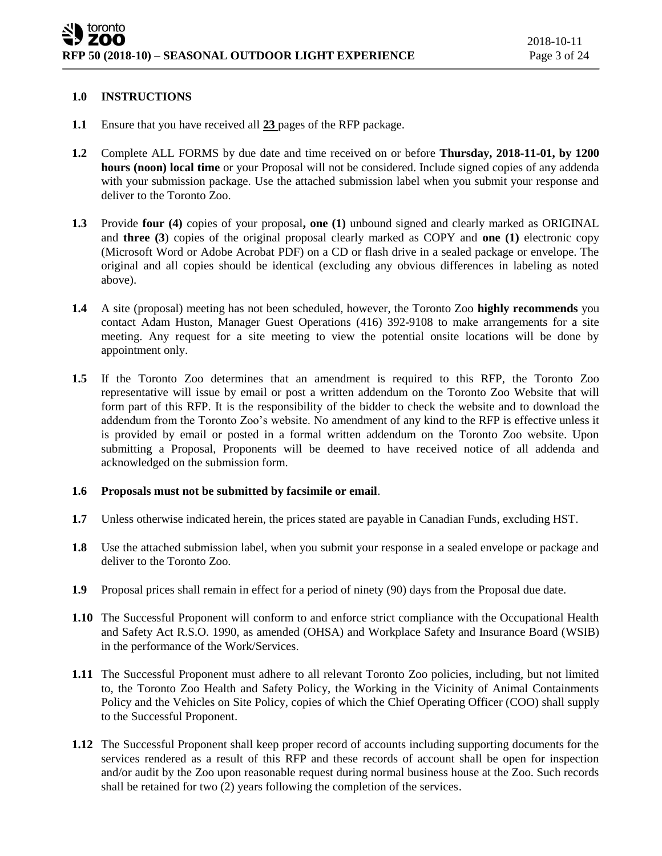#### **1.0 INSTRUCTIONS**

- **1.1** Ensure that you have received all **23** pages of the RFP package.
- **1.2** Complete ALL FORMS by due date and time received on or before **Thursday, 2018-11-01, by 1200 hours (noon) local time** or your Proposal will not be considered. Include signed copies of any addenda with your submission package. Use the attached submission label when you submit your response and deliver to the Toronto Zoo.
- **1.3** Provide **four (4)** copies of your proposal**, one (1)** unbound signed and clearly marked as ORIGINAL and **three (3**) copies of the original proposal clearly marked as COPY and **one (1)** electronic copy (Microsoft Word or Adobe Acrobat PDF) on a CD or flash drive in a sealed package or envelope. The original and all copies should be identical (excluding any obvious differences in labeling as noted above).
- **1.4** A site (proposal) meeting has not been scheduled, however, the Toronto Zoo **highly recommends** you contact Adam Huston, Manager Guest Operations (416) 392-9108 to make arrangements for a site meeting. Any request for a site meeting to view the potential onsite locations will be done by appointment only.
- **1.5** If the Toronto Zoo determines that an amendment is required to this RFP, the Toronto Zoo representative will issue by email or post a written addendum on the Toronto Zoo Website that will form part of this RFP. It is the responsibility of the bidder to check the website and to download the addendum from the Toronto Zoo's website. No amendment of any kind to the RFP is effective unless it is provided by email or posted in a formal written addendum on the Toronto Zoo website. Upon submitting a Proposal, Proponents will be deemed to have received notice of all addenda and acknowledged on the submission form.

#### **1.6 Proposals must not be submitted by facsimile or email**.

- **1.7** Unless otherwise indicated herein, the prices stated are payable in Canadian Funds, excluding HST.
- **1.8** Use the attached submission label, when you submit your response in a sealed envelope or package and deliver to the Toronto Zoo.
- **1.9** Proposal prices shall remain in effect for a period of ninety (90) days from the Proposal due date.
- **1.10** The Successful Proponent will conform to and enforce strict compliance with the Occupational Health and Safety Act R.S.O. 1990, as amended (OHSA) and Workplace Safety and Insurance Board (WSIB) in the performance of the Work/Services.
- **1.11** The Successful Proponent must adhere to all relevant Toronto Zoo policies, including, but not limited to, the Toronto Zoo Health and Safety Policy, the Working in the Vicinity of Animal Containments Policy and the Vehicles on Site Policy, copies of which the Chief Operating Officer (COO) shall supply to the Successful Proponent.
- **1.12** The Successful Proponent shall keep proper record of accounts including supporting documents for the services rendered as a result of this RFP and these records of account shall be open for inspection and/or audit by the Zoo upon reasonable request during normal business house at the Zoo. Such records shall be retained for two (2) years following the completion of the services.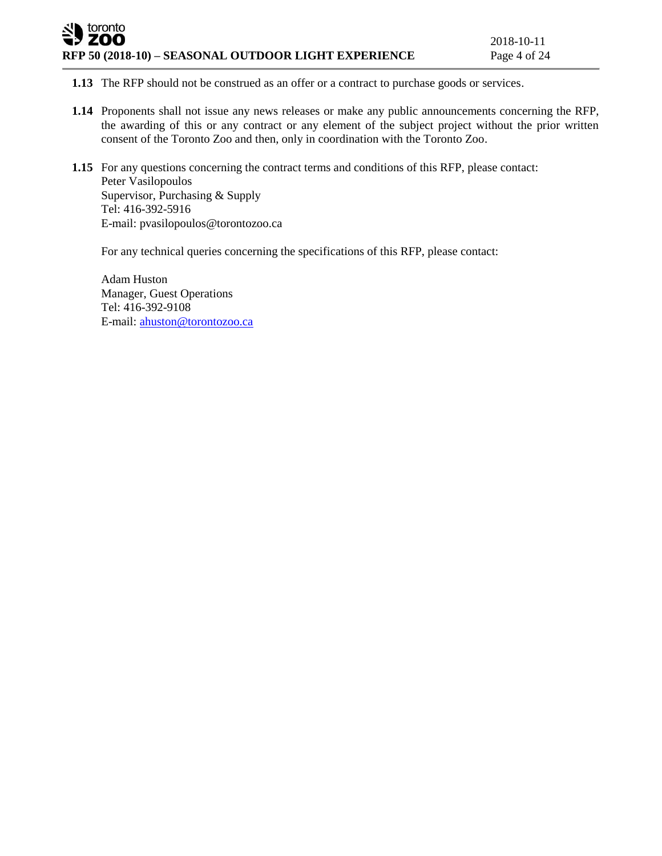# toronto ZOO **RFP 50 (2018-10) – SEASONAL OUTDOOR LIGHT EXPERIENCE** Page 4 of 24

**1.13** The RFP should not be construed as an offer or a contract to purchase goods or services.

- **1.14** Proponents shall not issue any news releases or make any public announcements concerning the RFP, the awarding of this or any contract or any element of the subject project without the prior written consent of the Toronto Zoo and then, only in coordination with the Toronto Zoo.
- **1.15** For any questions concerning the contract terms and conditions of this RFP, please contact: Peter Vasilopoulos Supervisor, Purchasing & Supply Tel: 416-392-5916 E-mail: pvasilopoulos@torontozoo.ca

For any technical queries concerning the specifications of this RFP, please contact:

Adam Huston Manager, Guest Operations Tel: 416-392-9108 E-mail: [ahuston@torontozoo.ca](mailto:ahuston@torontozoo.ca)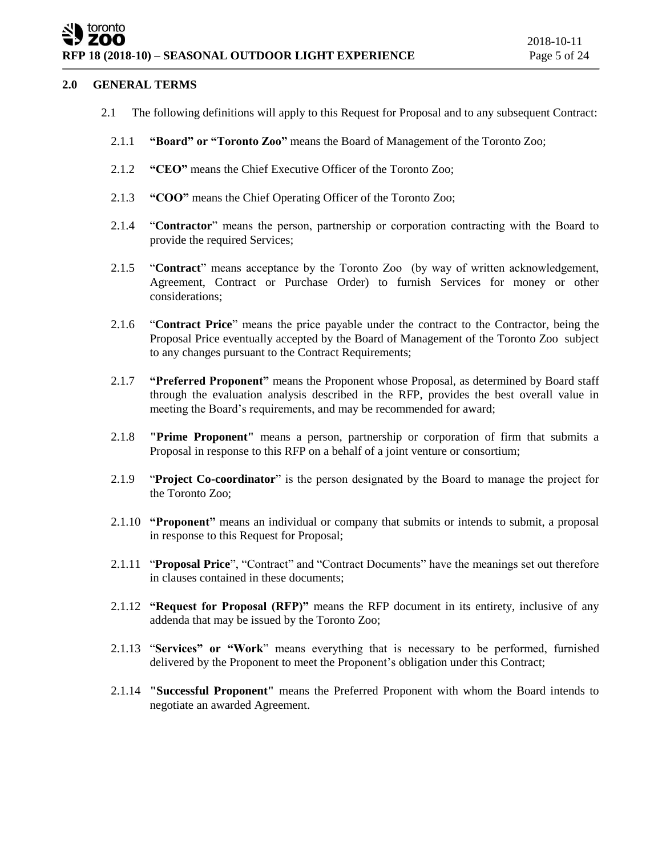# toronto **RFP 18 (2018-10) – SEASONAL OUTDOOR LIGHT EXPERIENCE** Page 5 of 24

#### **2.0 GENERAL TERMS**

- 2.1 The following definitions will apply to this Request for Proposal and to any subsequent Contract:
	- 2.1.1 **"Board" or "Toronto Zoo"** means the Board of Management of the Toronto Zoo;
	- 2.1.2 **"CEO"** means the Chief Executive Officer of the Toronto Zoo;
	- 2.1.3 **"COO"** means the Chief Operating Officer of the Toronto Zoo;
	- 2.1.4 "**Contractor**" means the person, partnership or corporation contracting with the Board to provide the required Services;
	- 2.1.5 "**Contract**" means acceptance by the Toronto Zoo (by way of written acknowledgement, Agreement, Contract or Purchase Order) to furnish Services for money or other considerations;
	- 2.1.6 "**Contract Price**" means the price payable under the contract to the Contractor, being the Proposal Price eventually accepted by the Board of Management of the Toronto Zoo subject to any changes pursuant to the Contract Requirements;
	- 2.1.7 **"Preferred Proponent"** means the Proponent whose Proposal, as determined by Board staff through the evaluation analysis described in the RFP, provides the best overall value in meeting the Board's requirements, and may be recommended for award;
	- 2.1.8 **"Prime Proponent"** means a person, partnership or corporation of firm that submits a Proposal in response to this RFP on a behalf of a joint venture or consortium;
	- 2.1.9 "**Project Co-coordinator**" is the person designated by the Board to manage the project for the Toronto Zoo;
	- 2.1.10 **"Proponent"** means an individual or company that submits or intends to submit, a proposal in response to this Request for Proposal;
	- 2.1.11 "**Proposal Price**", "Contract" and "Contract Documents" have the meanings set out therefore in clauses contained in these documents;
	- 2.1.12 **"Request for Proposal (RFP)"** means the RFP document in its entirety, inclusive of any addenda that may be issued by the Toronto Zoo;
	- 2.1.13 "**Services" or "Work**" means everything that is necessary to be performed, furnished delivered by the Proponent to meet the Proponent's obligation under this Contract;
	- 2.1.14 **"Successful Proponent"** means the Preferred Proponent with whom the Board intends to negotiate an awarded Agreement.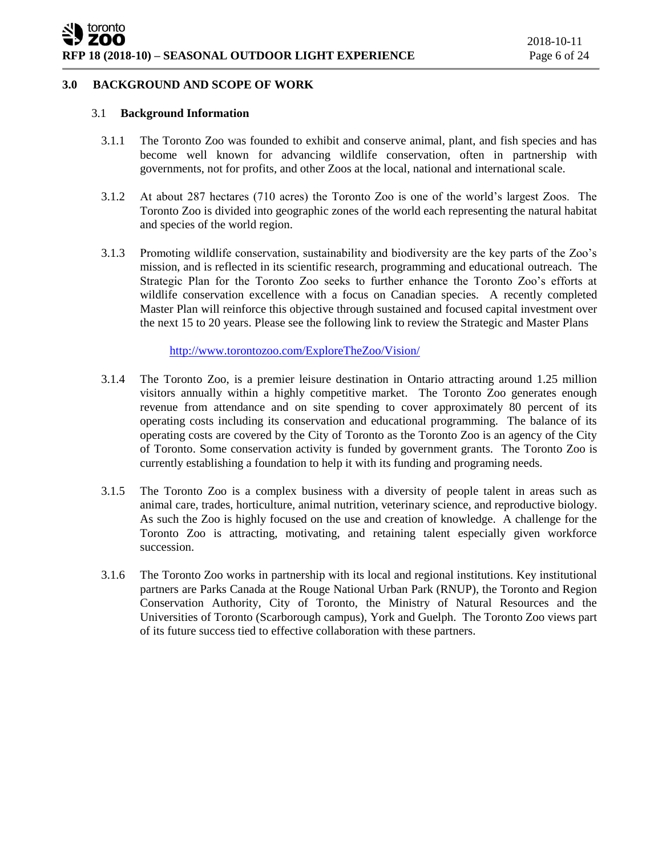#### **3.0 BACKGROUND AND SCOPE OF WORK**

#### 3.1 **Background Information**

- 3.1.1 The Toronto Zoo was founded to exhibit and conserve animal, plant, and fish species and has become well known for advancing wildlife conservation, often in partnership with governments, not for profits, and other Zoos at the local, national and international scale.
- 3.1.2 At about 287 hectares (710 acres) the Toronto Zoo is one of the world's largest Zoos. The Toronto Zoo is divided into geographic zones of the world each representing the natural habitat and species of the world region.
- 3.1.3 Promoting wildlife conservation, sustainability and biodiversity are the key parts of the Zoo's mission, and is reflected in its scientific research, programming and educational outreach. The Strategic Plan for the Toronto Zoo seeks to further enhance the Toronto Zoo's efforts at wildlife conservation excellence with a focus on Canadian species. A recently completed Master Plan will reinforce this objective through sustained and focused capital investment over the next 15 to 20 years. Please see the following link to review the Strategic and Master Plans

<http://www.torontozoo.com/ExploreTheZoo/Vision/>

- 3.1.4 The Toronto Zoo, is a premier leisure destination in Ontario attracting around 1.25 million visitors annually within a highly competitive market. The Toronto Zoo generates enough revenue from attendance and on site spending to cover approximately 80 percent of its operating costs including its conservation and educational programming. The balance of its operating costs are covered by the City of Toronto as the Toronto Zoo is an agency of the City of Toronto. Some conservation activity is funded by government grants. The Toronto Zoo is currently establishing a foundation to help it with its funding and programing needs.
- 3.1.5 The Toronto Zoo is a complex business with a diversity of people talent in areas such as animal care, trades, horticulture, animal nutrition, veterinary science, and reproductive biology. As such the Zoo is highly focused on the use and creation of knowledge. A challenge for the Toronto Zoo is attracting, motivating, and retaining talent especially given workforce succession.
- 3.1.6 The Toronto Zoo works in partnership with its local and regional institutions. Key institutional partners are Parks Canada at the Rouge National Urban Park (RNUP), the Toronto and Region Conservation Authority, City of Toronto, the Ministry of Natural Resources and the Universities of Toronto (Scarborough campus), York and Guelph. The Toronto Zoo views part of its future success tied to effective collaboration with these partners.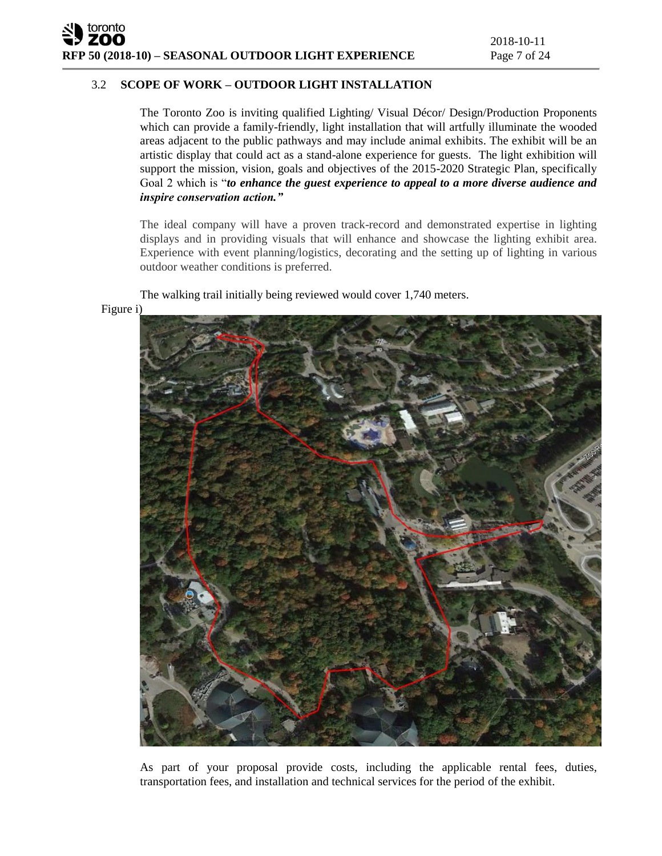**RFP 50 (2018-10) – SEASONAL OUTDOOR LIGHT EXPERIENCE** Page 7 of 24

# 3.2 **SCOPE OF WORK – OUTDOOR LIGHT INSTALLATION**

The Toronto Zoo is inviting qualified Lighting/ Visual Décor/ Design/Production Proponents which can provide a family-friendly, light installation that will artfully illuminate the wooded areas adjacent to the public pathways and may include animal exhibits. The exhibit will be an artistic display that could act as a stand-alone experience for guests. The light exhibition will support the mission, vision, goals and objectives of the 2015-2020 Strategic Plan, specifically Goal 2 which is "*to enhance the guest experience to appeal to a more diverse audience and inspire conservation action."* 

The ideal company will have a proven track-record and demonstrated expertise in lighting displays and in providing visuals that will enhance and showcase the lighting exhibit area. Experience with event planning/logistics, decorating and the setting up of lighting in various outdoor weather conditions is preferred.

The walking trail initially being reviewed would cover 1,740 meters.

Figure i)

toronto



As part of your proposal provide costs, including the applicable rental fees, duties, transportation fees, and installation and technical services for the period of the exhibit.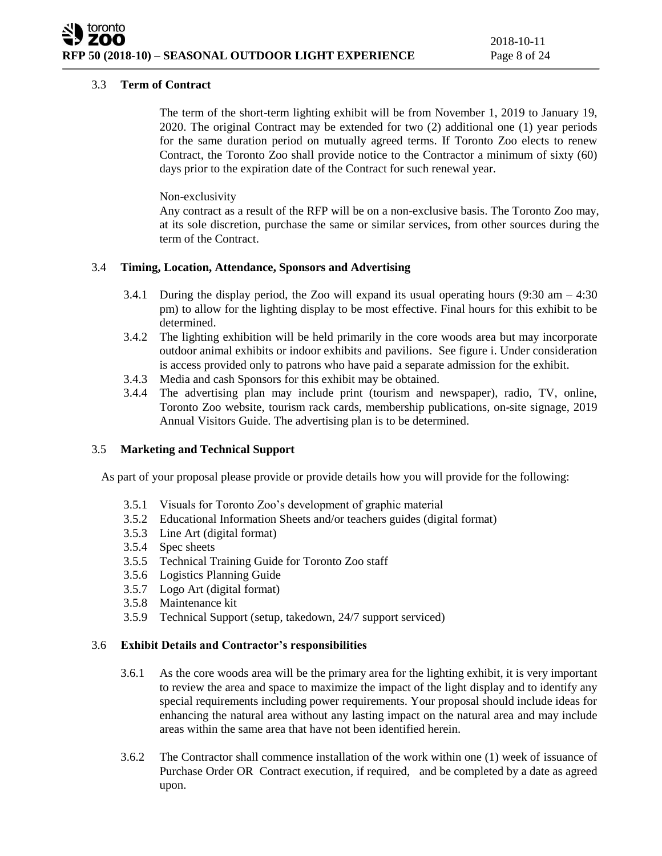# 3.3 **Term of Contract**

The term of the short-term lighting exhibit will be from November 1, 2019 to January 19, 2020. The original Contract may be extended for two (2) additional one (1) year periods for the same duration period on mutually agreed terms. If Toronto Zoo elects to renew Contract, the Toronto Zoo shall provide notice to the Contractor a minimum of sixty (60) days prior to the expiration date of the Contract for such renewal year.

Non-exclusivity

Any contract as a result of the RFP will be on a non-exclusive basis. The Toronto Zoo may, at its sole discretion, purchase the same or similar services, from other sources during the term of the Contract.

# 3.4 **Timing, Location, Attendance, Sponsors and Advertising**

- 3.4.1 During the display period, the Zoo will expand its usual operating hours  $(9:30 \text{ am} 4:30$ pm) to allow for the lighting display to be most effective. Final hours for this exhibit to be determined.
- 3.4.2 The lighting exhibition will be held primarily in the core woods area but may incorporate outdoor animal exhibits or indoor exhibits and pavilions. See figure i. Under consideration is access provided only to patrons who have paid a separate admission for the exhibit.
- 3.4.3 Media and cash Sponsors for this exhibit may be obtained.
- 3.4.4 The advertising plan may include print (tourism and newspaper), radio, TV, online, Toronto Zoo website, tourism rack cards, membership publications, on-site signage, 2019 Annual Visitors Guide. The advertising plan is to be determined.

# 3.5 **Marketing and Technical Support**

As part of your proposal please provide or provide details how you will provide for the following:

- 3.5.1 Visuals for Toronto Zoo's development of graphic material
- 3.5.2 Educational Information Sheets and/or teachers guides (digital format)
- 3.5.3 Line Art (digital format)
- 3.5.4 Spec sheets
- 3.5.5 Technical Training Guide for Toronto Zoo staff
- 3.5.6 Logistics Planning Guide
- 3.5.7 Logo Art (digital format)
- 3.5.8 Maintenance kit
- 3.5.9 Technical Support (setup, takedown, 24/7 support serviced)

# 3.6 **Exhibit Details and Contractor's responsibilities**

- 3.6.1 As the core woods area will be the primary area for the lighting exhibit, it is very important to review the area and space to maximize the impact of the light display and to identify any special requirements including power requirements. Your proposal should include ideas for enhancing the natural area without any lasting impact on the natural area and may include areas within the same area that have not been identified herein.
- 3.6.2 The Contractor shall commence installation of the work within one (1) week of issuance of Purchase Order OR Contract execution, if required, and be completed by a date as agreed upon.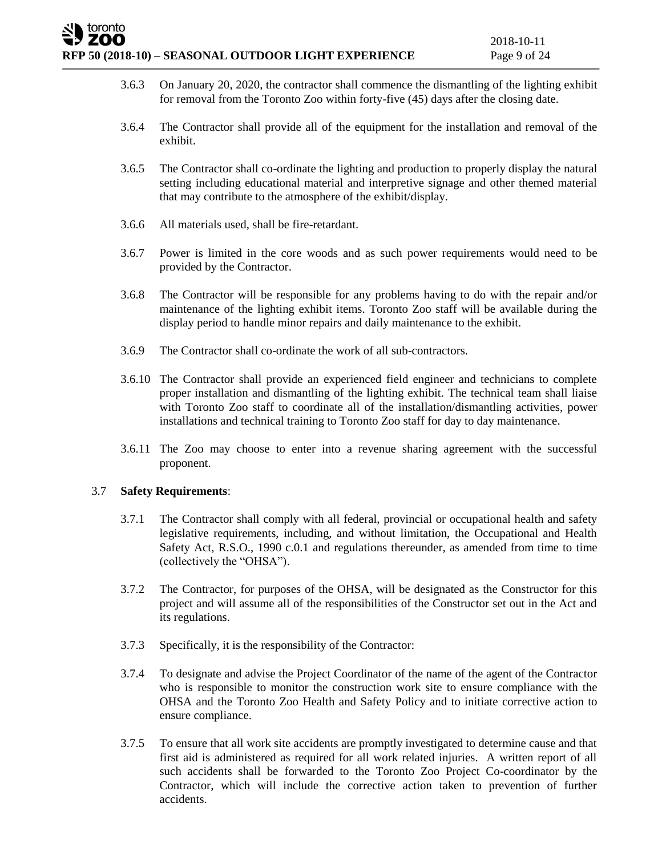# toronto **RFP 50 (2018-10) – SEASONAL OUTDOOR LIGHT EXPERIENCE** Page 9 of 24

- 3.6.3 On January 20, 2020, the contractor shall commence the dismantling of the lighting exhibit for removal from the Toronto Zoo within forty-five (45) days after the closing date.
- 3.6.4 The Contractor shall provide all of the equipment for the installation and removal of the exhibit.
- 3.6.5 The Contractor shall co-ordinate the lighting and production to properly display the natural setting including educational material and interpretive signage and other themed material that may contribute to the atmosphere of the exhibit/display.
- 3.6.6 All materials used, shall be fire-retardant.
- 3.6.7 Power is limited in the core woods and as such power requirements would need to be provided by the Contractor.
- 3.6.8 The Contractor will be responsible for any problems having to do with the repair and/or maintenance of the lighting exhibit items. Toronto Zoo staff will be available during the display period to handle minor repairs and daily maintenance to the exhibit.
- 3.6.9 The Contractor shall co-ordinate the work of all sub-contractors.
- 3.6.10 The Contractor shall provide an experienced field engineer and technicians to complete proper installation and dismantling of the lighting exhibit. The technical team shall liaise with Toronto Zoo staff to coordinate all of the installation/dismantling activities, power installations and technical training to Toronto Zoo staff for day to day maintenance.
- 3.6.11 The Zoo may choose to enter into a revenue sharing agreement with the successful proponent.

# 3.7 **Safety Requirements**:

- 3.7.1 The Contractor shall comply with all federal, provincial or occupational health and safety legislative requirements, including, and without limitation, the Occupational and Health Safety Act, R.S.O., 1990 c.0.1 and regulations thereunder, as amended from time to time (collectively the "OHSA").
- 3.7.2 The Contractor, for purposes of the OHSA, will be designated as the Constructor for this project and will assume all of the responsibilities of the Constructor set out in the Act and its regulations.
- 3.7.3 Specifically, it is the responsibility of the Contractor:
- 3.7.4 To designate and advise the Project Coordinator of the name of the agent of the Contractor who is responsible to monitor the construction work site to ensure compliance with the OHSA and the Toronto Zoo Health and Safety Policy and to initiate corrective action to ensure compliance.
- 3.7.5 To ensure that all work site accidents are promptly investigated to determine cause and that first aid is administered as required for all work related injuries. A written report of all such accidents shall be forwarded to the Toronto Zoo Project Co-coordinator by the Contractor, which will include the corrective action taken to prevention of further accidents.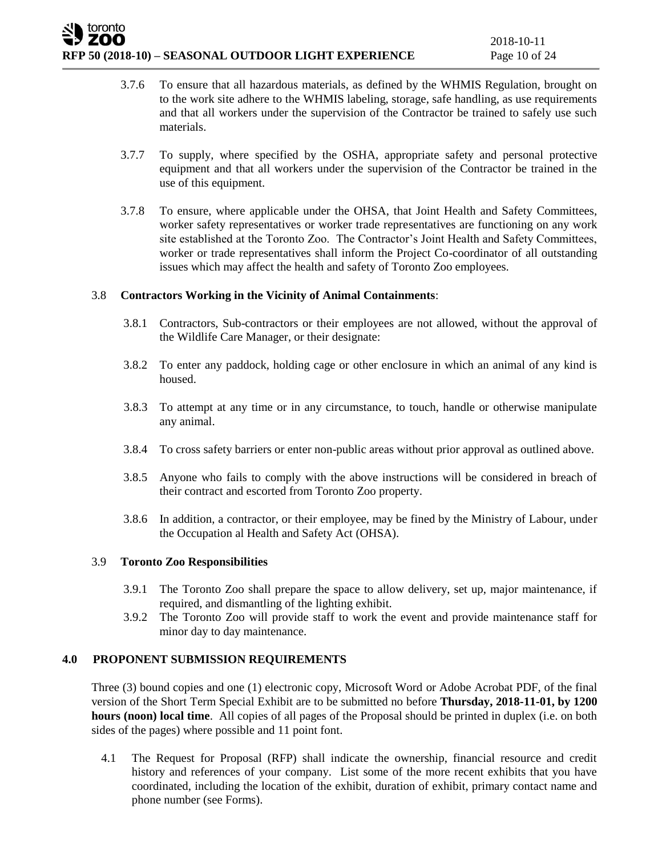# **RFP 50 (2018-10) – SEASONAL OUTDOOR LIGHT EXPERIENCE** Page 10 of 24

toronto

- 3.7.6 To ensure that all hazardous materials, as defined by the WHMIS Regulation, brought on to the work site adhere to the WHMIS labeling, storage, safe handling, as use requirements and that all workers under the supervision of the Contractor be trained to safely use such materials.
- 3.7.7 To supply, where specified by the OSHA, appropriate safety and personal protective equipment and that all workers under the supervision of the Contractor be trained in the use of this equipment.
- 3.7.8 To ensure, where applicable under the OHSA, that Joint Health and Safety Committees, worker safety representatives or worker trade representatives are functioning on any work site established at the Toronto Zoo. The Contractor's Joint Health and Safety Committees, worker or trade representatives shall inform the Project Co-coordinator of all outstanding issues which may affect the health and safety of Toronto Zoo employees.

# 3.8 **Contractors Working in the Vicinity of Animal Containments**:

- 3.8.1 Contractors, Sub-contractors or their employees are not allowed, without the approval of the Wildlife Care Manager, or their designate:
- 3.8.2 To enter any paddock, holding cage or other enclosure in which an animal of any kind is housed.
- 3.8.3 To attempt at any time or in any circumstance, to touch, handle or otherwise manipulate any animal.
- 3.8.4 To cross safety barriers or enter non-public areas without prior approval as outlined above.
- 3.8.5 Anyone who fails to comply with the above instructions will be considered in breach of their contract and escorted from Toronto Zoo property.
- 3.8.6 In addition, a contractor, or their employee, may be fined by the Ministry of Labour, under the Occupation al Health and Safety Act (OHSA).

#### 3.9 **Toronto Zoo Responsibilities**

- 3.9.1 The Toronto Zoo shall prepare the space to allow delivery, set up, major maintenance, if required, and dismantling of the lighting exhibit.
- 3.9.2 The Toronto Zoo will provide staff to work the event and provide maintenance staff for minor day to day maintenance.

# **4.0 PROPONENT SUBMISSION REQUIREMENTS**

Three (3) bound copies and one (1) electronic copy, Microsoft Word or Adobe Acrobat PDF, of the final version of the Short Term Special Exhibit are to be submitted no before **Thursday, 2018-11-01, by 1200 hours (noon) local time**. All copies of all pages of the Proposal should be printed in duplex (i.e. on both sides of the pages) where possible and 11 point font.

4.1 The Request for Proposal (RFP) shall indicate the ownership, financial resource and credit history and references of your company. List some of the more recent exhibits that you have coordinated, including the location of the exhibit, duration of exhibit, primary contact name and phone number (see Forms).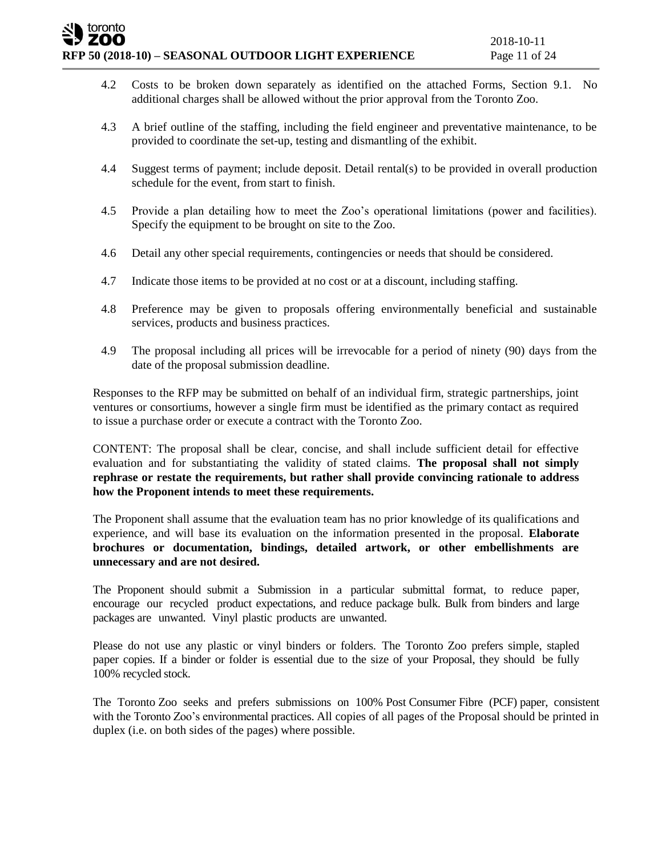# toronto **RFP 50 (2018-10) – SEASONAL OUTDOOR LIGHT EXPERIENCE** Page 11 of 24

- 4.2 Costs to be broken down separately as identified on the attached Forms, Section 9.1. No additional charges shall be allowed without the prior approval from the Toronto Zoo.
- 4.3 A brief outline of the staffing, including the field engineer and preventative maintenance, to be provided to coordinate the set-up, testing and dismantling of the exhibit.
- 4.4 Suggest terms of payment; include deposit. Detail rental(s) to be provided in overall production schedule for the event, from start to finish.
- 4.5 Provide a plan detailing how to meet the Zoo's operational limitations (power and facilities). Specify the equipment to be brought on site to the Zoo.
- 4.6 Detail any other special requirements, contingencies or needs that should be considered.
- 4.7 Indicate those items to be provided at no cost or at a discount, including staffing.
- 4.8 Preference may be given to proposals offering environmentally beneficial and sustainable services, products and business practices.
- 4.9 The proposal including all prices will be irrevocable for a period of ninety (90) days from the date of the proposal submission deadline.

Responses to the RFP may be submitted on behalf of an individual firm, strategic partnerships, joint ventures or consortiums, however a single firm must be identified as the primary contact as required to issue a purchase order or execute a contract with the Toronto Zoo.

CONTENT: The proposal shall be clear, concise, and shall include sufficient detail for effective evaluation and for substantiating the validity of stated claims. **The proposal shall not simply rephrase or restate the requirements, but rather shall provide convincing rationale to address how the Proponent intends to meet these requirements.** 

The Proponent shall assume that the evaluation team has no prior knowledge of its qualifications and experience, and will base its evaluation on the information presented in the proposal. **Elaborate brochures or documentation, bindings, detailed artwork, or other embellishments are unnecessary and are not desired.** 

The Proponent should submit a Submission in a particular submittal format, to reduce paper, encourage our recycled product expectations, and reduce package bulk. Bulk from binders and large packages are unwanted. Vinyl plastic products are unwanted.

Please do not use any plastic or vinyl binders or folders. The Toronto Zoo prefers simple, stapled paper copies. If a binder or folder is essential due to the size of your Proposal, they should be fully 100% recycled stock.

The Toronto Zoo seeks and prefers submissions on 100% Post Consumer Fibre (PCF) paper, consistent with the Toronto Zoo's environmental practices. All copies of all pages of the Proposal should be printed in duplex (i.e. on both sides of the pages) where possible.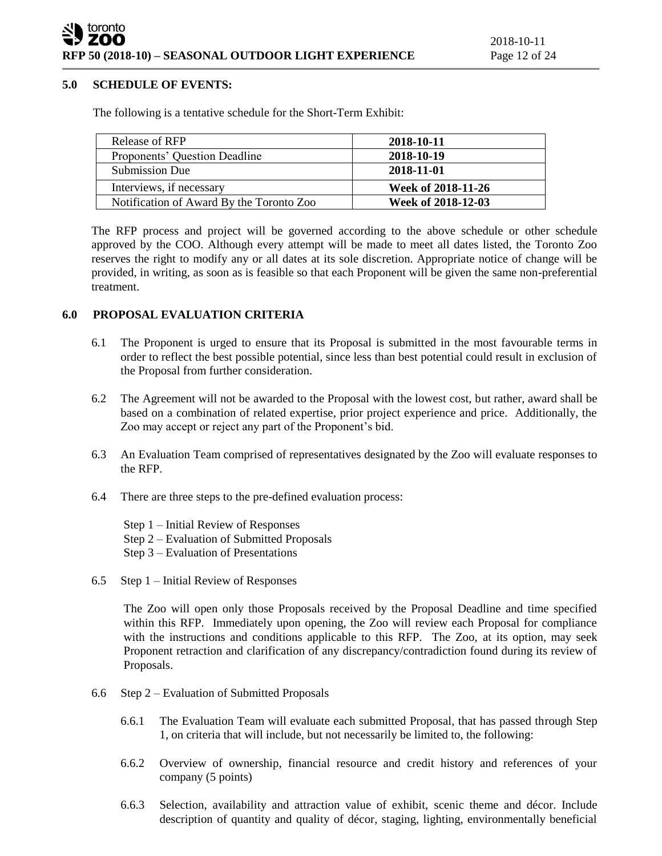#### **5.0 SCHEDULE OF EVENTS:**

The following is a tentative schedule for the Short-Term Exhibit:

| Release of RFP                           | 2018-10-11         |
|------------------------------------------|--------------------|
| Proponents' Question Deadline            | 2018-10-19         |
| <b>Submission Due</b>                    | 2018-11-01         |
| Interviews, if necessary                 | Week of 2018-11-26 |
| Notification of Award By the Toronto Zoo | Week of 2018-12-03 |

The RFP process and project will be governed according to the above schedule or other schedule approved by the COO. Although every attempt will be made to meet all dates listed, the Toronto Zoo reserves the right to modify any or all dates at its sole discretion. Appropriate notice of change will be provided, in writing, as soon as is feasible so that each Proponent will be given the same non-preferential treatment.

# **6.0 PROPOSAL EVALUATION CRITERIA**

- 6.1 The Proponent is urged to ensure that its Proposal is submitted in the most favourable terms in order to reflect the best possible potential, since less than best potential could result in exclusion of the Proposal from further consideration.
- 6.2 The Agreement will not be awarded to the Proposal with the lowest cost, but rather, award shall be based on a combination of related expertise, prior project experience and price. Additionally, the Zoo may accept or reject any part of the Proponent's bid.
- 6.3 An Evaluation Team comprised of representatives designated by the Zoo will evaluate responses to the RFP.
- 6.4 There are three steps to the pre-defined evaluation process:
	- Step 1 Initial Review of Responses Step 2 – Evaluation of Submitted Proposals Step 3 – Evaluation of Presentations
- 6.5 Step 1 Initial Review of Responses

The Zoo will open only those Proposals received by the Proposal Deadline and time specified within this RFP. Immediately upon opening, the Zoo will review each Proposal for compliance with the instructions and conditions applicable to this RFP. The Zoo, at its option, may seek Proponent retraction and clarification of any discrepancy/contradiction found during its review of Proposals.

- 6.6 Step 2 Evaluation of Submitted Proposals
	- 6.6.1 The Evaluation Team will evaluate each submitted Proposal, that has passed through Step 1, on criteria that will include, but not necessarily be limited to, the following:
	- 6.6.2 Overview of ownership, financial resource and credit history and references of your company (5 points)
	- 6.6.3 Selection, availability and attraction value of exhibit, scenic theme and décor. Include description of quantity and quality of décor, staging, lighting, environmentally beneficial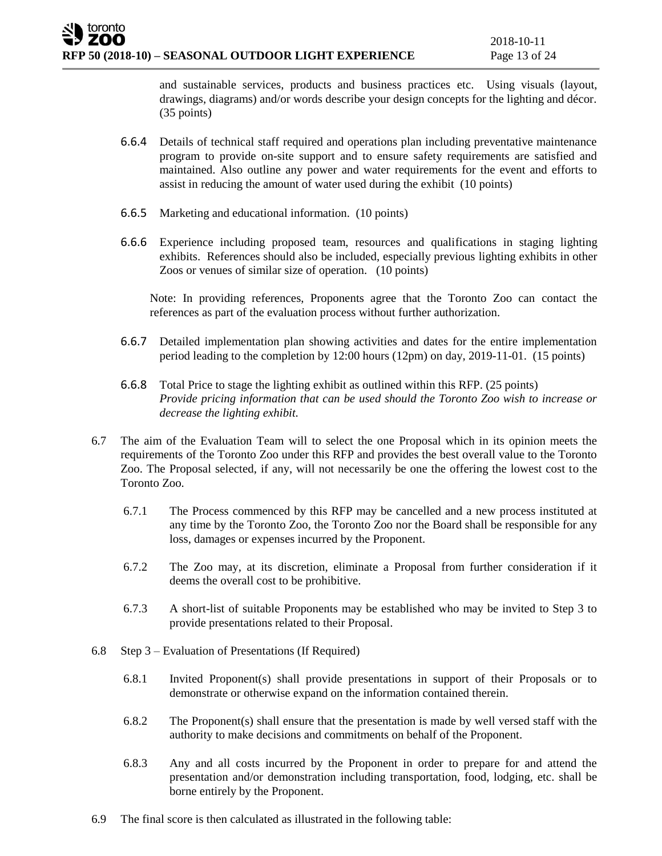and sustainable services, products and business practices etc. Using visuals (layout, drawings, diagrams) and/or words describe your design concepts for the lighting and décor. (35 points)

- 6.6.4 Details of technical staff required and operations plan including preventative maintenance program to provide on-site support and to ensure safety requirements are satisfied and maintained. Also outline any power and water requirements for the event and efforts to assist in reducing the amount of water used during the exhibit (10 points)
- 6.6.5 Marketing and educational information. (10 points)
- 6.6.6 Experience including proposed team, resources and qualifications in staging lighting exhibits. References should also be included, especially previous lighting exhibits in other Zoos or venues of similar size of operation. (10 points)

Note: In providing references, Proponents agree that the Toronto Zoo can contact the references as part of the evaluation process without further authorization.

- 6.6.7 Detailed implementation plan showing activities and dates for the entire implementation period leading to the completion by 12:00 hours (12pm) on day, 2019-11-01. (15 points)
- 6.6.8 Total Price to stage the lighting exhibit as outlined within this RFP. (25 points) *Provide pricing information that can be used should the Toronto Zoo wish to increase or decrease the lighting exhibit.*
- 6.7 The aim of the Evaluation Team will to select the one Proposal which in its opinion meets the requirements of the Toronto Zoo under this RFP and provides the best overall value to the Toronto Zoo. The Proposal selected, if any, will not necessarily be one the offering the lowest cost to the Toronto Zoo.
	- 6.7.1 The Process commenced by this RFP may be cancelled and a new process instituted at any time by the Toronto Zoo, the Toronto Zoo nor the Board shall be responsible for any loss, damages or expenses incurred by the Proponent.
	- 6.7.2 The Zoo may, at its discretion, eliminate a Proposal from further consideration if it deems the overall cost to be prohibitive.
	- 6.7.3 A short-list of suitable Proponents may be established who may be invited to Step 3 to provide presentations related to their Proposal.
- 6.8 Step 3 Evaluation of Presentations (If Required)
	- 6.8.1 Invited Proponent(s) shall provide presentations in support of their Proposals or to demonstrate or otherwise expand on the information contained therein.
	- 6.8.2 The Proponent(s) shall ensure that the presentation is made by well versed staff with the authority to make decisions and commitments on behalf of the Proponent.
	- 6.8.3 Any and all costs incurred by the Proponent in order to prepare for and attend the presentation and/or demonstration including transportation, food, lodging, etc. shall be borne entirely by the Proponent.
- 6.9 The final score is then calculated as illustrated in the following table: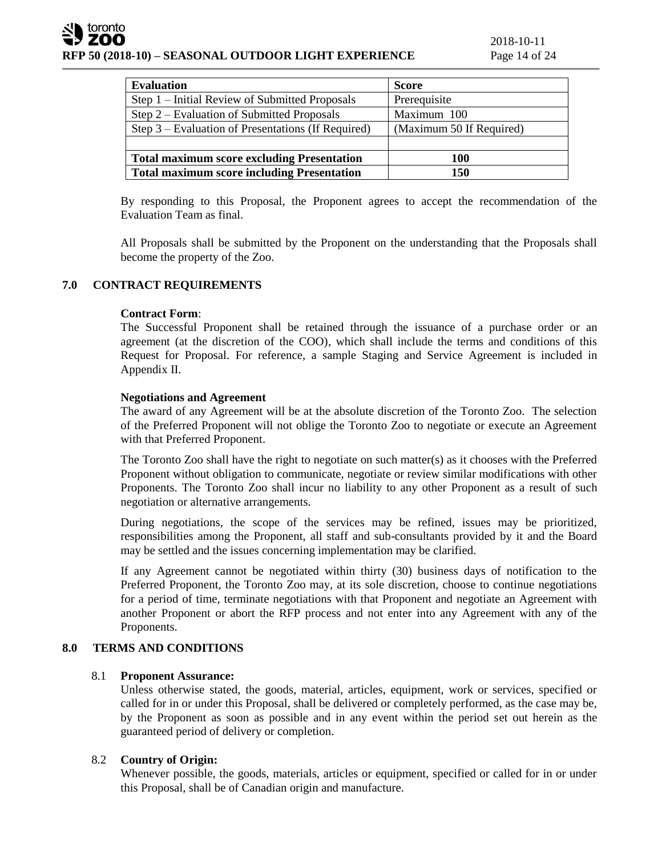| <b>Evaluation</b>                                  | <b>Score</b>             |
|----------------------------------------------------|--------------------------|
| Step 1 – Initial Review of Submitted Proposals     | Prerequisite             |
| Step 2 – Evaluation of Submitted Proposals         | Maximum 100              |
| Step 3 – Evaluation of Presentations (If Required) | (Maximum 50 If Required) |
|                                                    |                          |
| <b>Total maximum score excluding Presentation</b>  | 100                      |
| <b>Total maximum score including Presentation</b>  | 150                      |

By responding to this Proposal, the Proponent agrees to accept the recommendation of the Evaluation Team as final.

All Proposals shall be submitted by the Proponent on the understanding that the Proposals shall become the property of the Zoo.

# **7.0 CONTRACT REQUIREMENTS**

## **Contract Form**:

The Successful Proponent shall be retained through the issuance of a purchase order or an agreement (at the discretion of the COO), which shall include the terms and conditions of this Request for Proposal. For reference, a sample Staging and Service Agreement is included in Appendix II.

## **Negotiations and Agreement**

The award of any Agreement will be at the absolute discretion of the Toronto Zoo. The selection of the Preferred Proponent will not oblige the Toronto Zoo to negotiate or execute an Agreement with that Preferred Proponent.

The Toronto Zoo shall have the right to negotiate on such matter(s) as it chooses with the Preferred Proponent without obligation to communicate, negotiate or review similar modifications with other Proponents. The Toronto Zoo shall incur no liability to any other Proponent as a result of such negotiation or alternative arrangements.

During negotiations, the scope of the services may be refined, issues may be prioritized, responsibilities among the Proponent, all staff and sub-consultants provided by it and the Board may be settled and the issues concerning implementation may be clarified.

If any Agreement cannot be negotiated within thirty (30) business days of notification to the Preferred Proponent, the Toronto Zoo may, at its sole discretion, choose to continue negotiations for a period of time, terminate negotiations with that Proponent and negotiate an Agreement with another Proponent or abort the RFP process and not enter into any Agreement with any of the Proponents.

# **8.0 TERMS AND CONDITIONS**

# 8.1 **Proponent Assurance:**

Unless otherwise stated, the goods, material, articles, equipment, work or services, specified or called for in or under this Proposal, shall be delivered or completely performed, as the case may be, by the Proponent as soon as possible and in any event within the period set out herein as the guaranteed period of delivery or completion.

# 8.2 **Country of Origin:**

Whenever possible, the goods, materials, articles or equipment, specified or called for in or under this Proposal, shall be of Canadian origin and manufacture.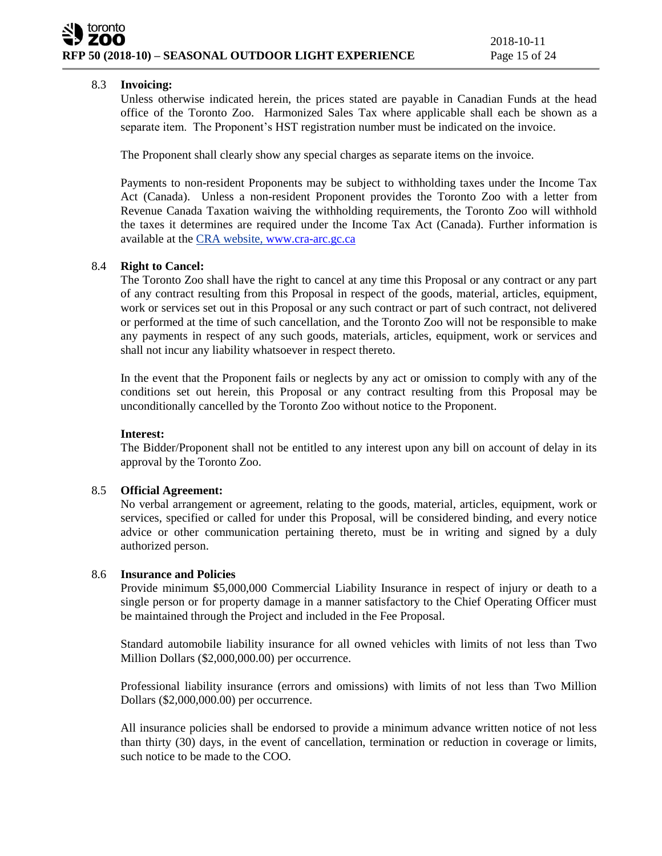# 8.3 **Invoicing:**

Unless otherwise indicated herein, the prices stated are payable in Canadian Funds at the head office of the Toronto Zoo. Harmonized Sales Tax where applicable shall each be shown as a separate item. The Proponent's HST registration number must be indicated on the invoice.

The Proponent shall clearly show any special charges as separate items on the invoice.

Payments to non-resident Proponents may be subject to withholding taxes under the Income Tax Act (Canada). Unless a non-resident Proponent provides the Toronto Zoo with a letter from Revenue Canada Taxation waiving the withholding requirements, the Toronto Zoo will withhold the taxes it determines are required under the Income Tax Act (Canada). Further information is available at the CRA website, [www.cra-arc.gc.ca](http://www.cra-arc.gc.ca/)

# 8.4 **Right to Cancel:**

The Toronto Zoo shall have the right to cancel at any time this Proposal or any contract or any part of any contract resulting from this Proposal in respect of the goods, material, articles, equipment, work or services set out in this Proposal or any such contract or part of such contract, not delivered or performed at the time of such cancellation, and the Toronto Zoo will not be responsible to make any payments in respect of any such goods, materials, articles, equipment, work or services and shall not incur any liability whatsoever in respect thereto.

In the event that the Proponent fails or neglects by any act or omission to comply with any of the conditions set out herein, this Proposal or any contract resulting from this Proposal may be unconditionally cancelled by the Toronto Zoo without notice to the Proponent.

# **Interest:**

The Bidder/Proponent shall not be entitled to any interest upon any bill on account of delay in its approval by the Toronto Zoo.

# 8.5 **Official Agreement:**

No verbal arrangement or agreement, relating to the goods, material, articles, equipment, work or services, specified or called for under this Proposal, will be considered binding, and every notice advice or other communication pertaining thereto, must be in writing and signed by a duly authorized person.

# 8.6 **Insurance and Policies**

Provide minimum \$5,000,000 Commercial Liability Insurance in respect of injury or death to a single person or for property damage in a manner satisfactory to the Chief Operating Officer must be maintained through the Project and included in the Fee Proposal.

Standard automobile liability insurance for all owned vehicles with limits of not less than Two Million Dollars (\$2,000,000.00) per occurrence.

Professional liability insurance (errors and omissions) with limits of not less than Two Million Dollars (\$2,000,000.00) per occurrence.

All insurance policies shall be endorsed to provide a minimum advance written notice of not less than thirty (30) days, in the event of cancellation, termination or reduction in coverage or limits, such notice to be made to the COO.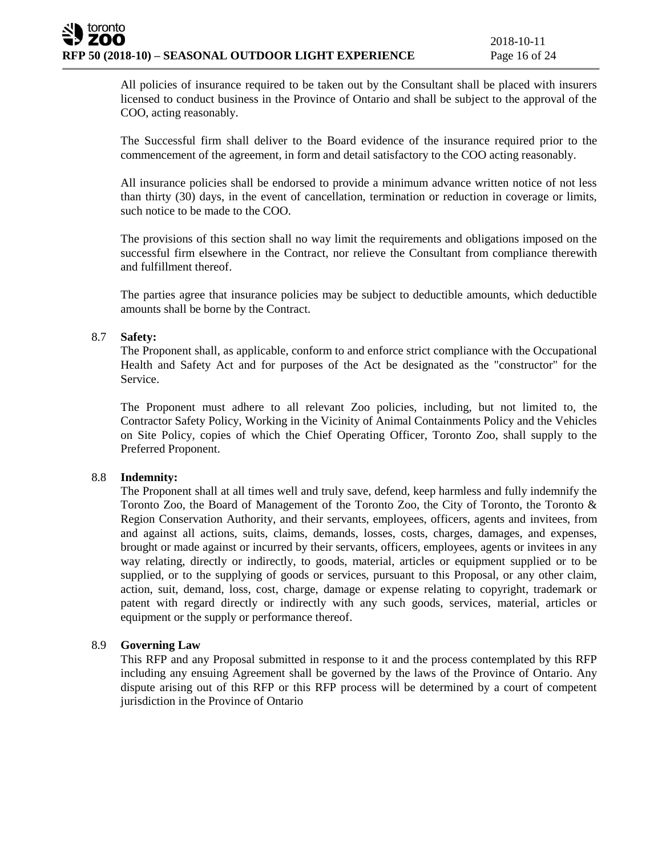All policies of insurance required to be taken out by the Consultant shall be placed with insurers licensed to conduct business in the Province of Ontario and shall be subject to the approval of the COO, acting reasonably.

The Successful firm shall deliver to the Board evidence of the insurance required prior to the commencement of the agreement, in form and detail satisfactory to the COO acting reasonably.

All insurance policies shall be endorsed to provide a minimum advance written notice of not less than thirty (30) days, in the event of cancellation, termination or reduction in coverage or limits, such notice to be made to the COO.

The provisions of this section shall no way limit the requirements and obligations imposed on the successful firm elsewhere in the Contract, nor relieve the Consultant from compliance therewith and fulfillment thereof.

The parties agree that insurance policies may be subject to deductible amounts, which deductible amounts shall be borne by the Contract.

## 8.7 **Safety:**

The Proponent shall, as applicable, conform to and enforce strict compliance with the Occupational Health and Safety Act and for purposes of the Act be designated as the "constructor" for the Service.

The Proponent must adhere to all relevant Zoo policies, including, but not limited to, the Contractor Safety Policy, Working in the Vicinity of Animal Containments Policy and the Vehicles on Site Policy, copies of which the Chief Operating Officer, Toronto Zoo, shall supply to the Preferred Proponent.

#### 8.8 **Indemnity:**

The Proponent shall at all times well and truly save, defend, keep harmless and fully indemnify the Toronto Zoo, the Board of Management of the Toronto Zoo, the City of Toronto, the Toronto & Region Conservation Authority, and their servants, employees, officers, agents and invitees, from and against all actions, suits, claims, demands, losses, costs, charges, damages, and expenses, brought or made against or incurred by their servants, officers, employees, agents or invitees in any way relating, directly or indirectly, to goods, material, articles or equipment supplied or to be supplied, or to the supplying of goods or services, pursuant to this Proposal, or any other claim, action, suit, demand, loss, cost, charge, damage or expense relating to copyright, trademark or patent with regard directly or indirectly with any such goods, services, material, articles or equipment or the supply or performance thereof.

# 8.9 **Governing Law**

This RFP and any Proposal submitted in response to it and the process contemplated by this RFP including any ensuing Agreement shall be governed by the laws of the Province of Ontario. Any dispute arising out of this RFP or this RFP process will be determined by a court of competent jurisdiction in the Province of Ontario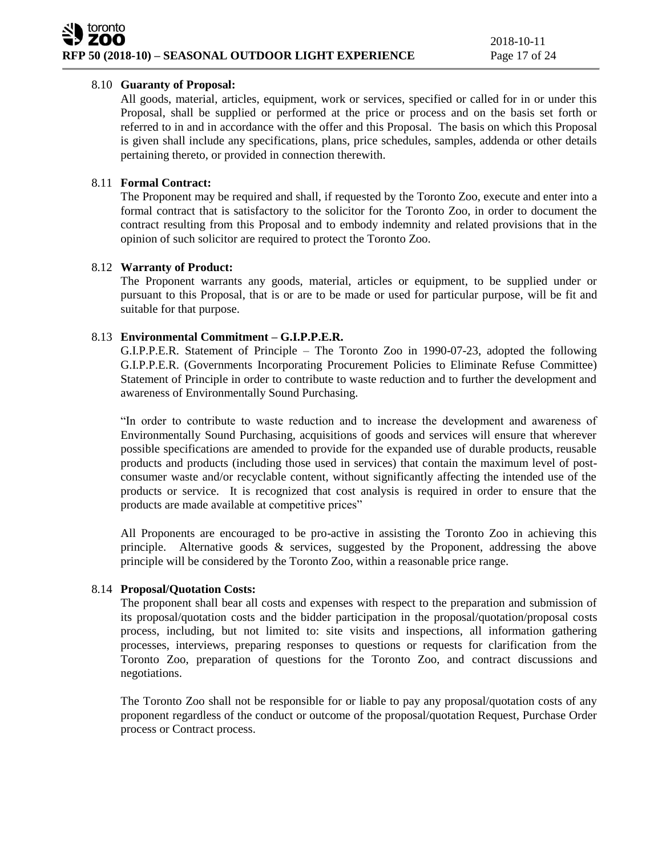# 8.10 **Guaranty of Proposal:**

All goods, material, articles, equipment, work or services, specified or called for in or under this Proposal, shall be supplied or performed at the price or process and on the basis set forth or referred to in and in accordance with the offer and this Proposal. The basis on which this Proposal is given shall include any specifications, plans, price schedules, samples, addenda or other details pertaining thereto, or provided in connection therewith.

# 8.11 **Formal Contract:**

The Proponent may be required and shall, if requested by the Toronto Zoo, execute and enter into a formal contract that is satisfactory to the solicitor for the Toronto Zoo, in order to document the contract resulting from this Proposal and to embody indemnity and related provisions that in the opinion of such solicitor are required to protect the Toronto Zoo.

## 8.12 **Warranty of Product:**

The Proponent warrants any goods, material, articles or equipment, to be supplied under or pursuant to this Proposal, that is or are to be made or used for particular purpose, will be fit and suitable for that purpose.

## 8.13 **Environmental Commitment – G.I.P.P.E.R.**

G.I.P.P.E.R. Statement of Principle – The Toronto Zoo in 1990-07-23, adopted the following G.I.P.P.E.R. (Governments Incorporating Procurement Policies to Eliminate Refuse Committee) Statement of Principle in order to contribute to waste reduction and to further the development and awareness of Environmentally Sound Purchasing.

"In order to contribute to waste reduction and to increase the development and awareness of Environmentally Sound Purchasing, acquisitions of goods and services will ensure that wherever possible specifications are amended to provide for the expanded use of durable products, reusable products and products (including those used in services) that contain the maximum level of postconsumer waste and/or recyclable content, without significantly affecting the intended use of the products or service. It is recognized that cost analysis is required in order to ensure that the products are made available at competitive prices"

All Proponents are encouraged to be pro-active in assisting the Toronto Zoo in achieving this principle. Alternative goods & services, suggested by the Proponent, addressing the above principle will be considered by the Toronto Zoo, within a reasonable price range.

# 8.14 **Proposal/Quotation Costs:**

The proponent shall bear all costs and expenses with respect to the preparation and submission of its proposal/quotation costs and the bidder participation in the proposal/quotation/proposal costs process, including, but not limited to: site visits and inspections, all information gathering processes, interviews, preparing responses to questions or requests for clarification from the Toronto Zoo, preparation of questions for the Toronto Zoo, and contract discussions and negotiations.

The Toronto Zoo shall not be responsible for or liable to pay any proposal/quotation costs of any proponent regardless of the conduct or outcome of the proposal/quotation Request, Purchase Order process or Contract process.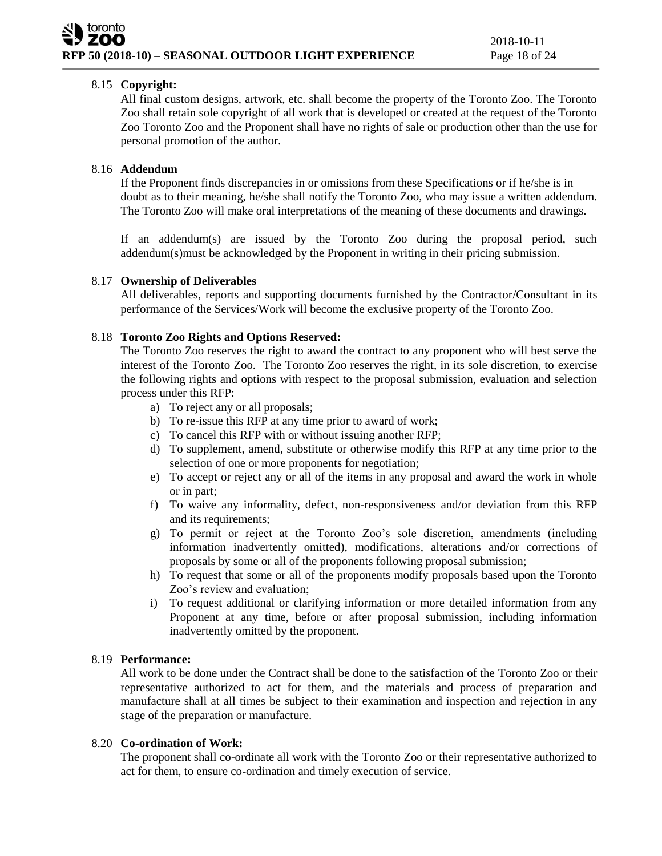# 8.15 **Copyright:**

All final custom designs, artwork, etc. shall become the property of the Toronto Zoo. The Toronto Zoo shall retain sole copyright of all work that is developed or created at the request of the Toronto Zoo Toronto Zoo and the Proponent shall have no rights of sale or production other than the use for personal promotion of the author.

# 8.16 **Addendum**

If the Proponent finds discrepancies in or omissions from these Specifications or if he/she is in doubt as to their meaning, he/she shall notify the Toronto Zoo, who may issue a written addendum. The Toronto Zoo will make oral interpretations of the meaning of these documents and drawings.

If an addendum(s) are issued by the Toronto Zoo during the proposal period, such addendum(s)must be acknowledged by the Proponent in writing in their pricing submission.

# 8.17 **Ownership of Deliverables**

All deliverables, reports and supporting documents furnished by the Contractor/Consultant in its performance of the Services/Work will become the exclusive property of the Toronto Zoo.

# 8.18 **Toronto Zoo Rights and Options Reserved:**

The Toronto Zoo reserves the right to award the contract to any proponent who will best serve the interest of the Toronto Zoo. The Toronto Zoo reserves the right, in its sole discretion, to exercise the following rights and options with respect to the proposal submission, evaluation and selection process under this RFP:

- a) To reject any or all proposals;
- b) To re-issue this RFP at any time prior to award of work;
- c) To cancel this RFP with or without issuing another RFP;
- d) To supplement, amend, substitute or otherwise modify this RFP at any time prior to the selection of one or more proponents for negotiation;
- e) To accept or reject any or all of the items in any proposal and award the work in whole or in part;
- f) To waive any informality, defect, non-responsiveness and/or deviation from this RFP and its requirements;
- g) To permit or reject at the Toronto Zoo's sole discretion, amendments (including information inadvertently omitted), modifications, alterations and/or corrections of proposals by some or all of the proponents following proposal submission;
- h) To request that some or all of the proponents modify proposals based upon the Toronto Zoo's review and evaluation;
- i) To request additional or clarifying information or more detailed information from any Proponent at any time, before or after proposal submission, including information inadvertently omitted by the proponent.

# 8.19 **Performance:**

All work to be done under the Contract shall be done to the satisfaction of the Toronto Zoo or their representative authorized to act for them, and the materials and process of preparation and manufacture shall at all times be subject to their examination and inspection and rejection in any stage of the preparation or manufacture.

# 8.20 **Co-ordination of Work:**

The proponent shall co-ordinate all work with the Toronto Zoo or their representative authorized to act for them, to ensure co-ordination and timely execution of service.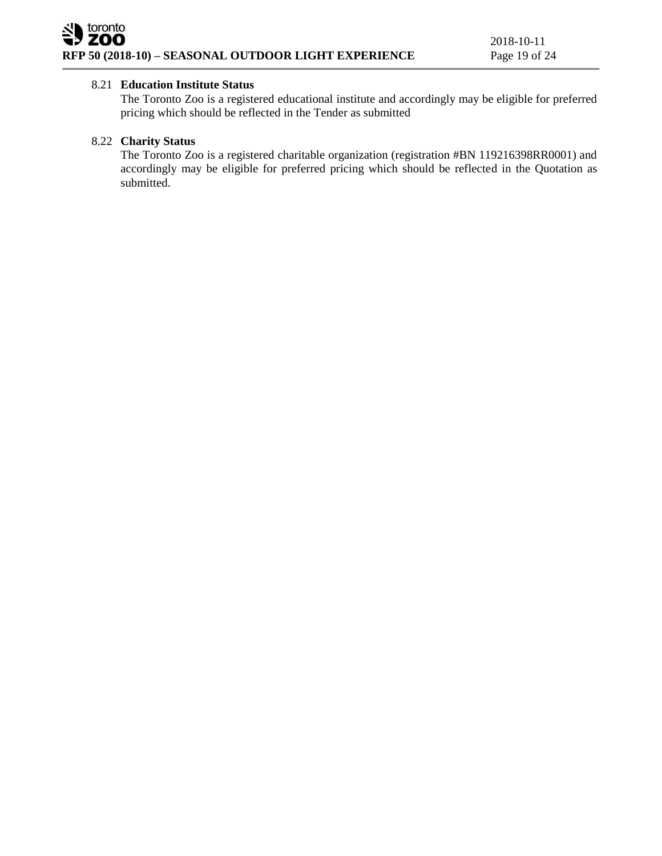# 8.21 **Education Institute Status**

The Toronto Zoo is a registered educational institute and accordingly may be eligible for preferred pricing which should be reflected in the Tender as submitted

# 8.22 **Charity Status**

The Toronto Zoo is a registered charitable organization (registration #BN 119216398RR0001) and accordingly may be eligible for preferred pricing which should be reflected in the Quotation as submitted.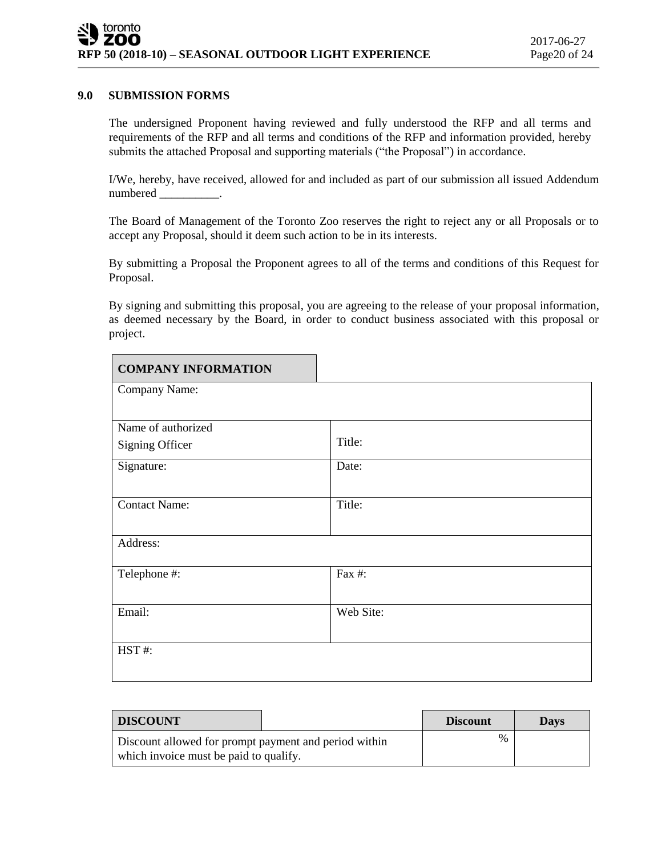#### **9.0 SUBMISSION FORMS**

The undersigned Proponent having reviewed and fully understood the RFP and all terms and requirements of the RFP and all terms and conditions of the RFP and information provided, hereby submits the attached Proposal and supporting materials ("the Proposal") in accordance.

I/We, hereby, have received, allowed for and included as part of our submission all issued Addendum numbered \_\_\_\_\_\_\_\_\_\_.

The Board of Management of the Toronto Zoo reserves the right to reject any or all Proposals or to accept any Proposal, should it deem such action to be in its interests.

By submitting a Proposal the Proponent agrees to all of the terms and conditions of this Request for Proposal.

By signing and submitting this proposal, you are agreeing to the release of your proposal information, as deemed necessary by the Board, in order to conduct business associated with this proposal or project.

| <b>COMPANY INFORMATION</b> |           |
|----------------------------|-----------|
| Company Name:              |           |
|                            |           |
| Name of authorized         |           |
| <b>Signing Officer</b>     | Title:    |
| Signature:                 | Date:     |
|                            |           |
| <b>Contact Name:</b>       | Title:    |
|                            |           |
| Address:                   |           |
| Telephone #:               | Fax #:    |
|                            |           |
| Email:                     | Web Site: |
|                            |           |
| HST#:                      |           |
|                            |           |
|                            |           |

| DISCOUNT                                                                                        | <b>Discount</b> | Days |
|-------------------------------------------------------------------------------------------------|-----------------|------|
| Discount allowed for prompt payment and period within<br>which invoice must be paid to qualify. | $\%$            |      |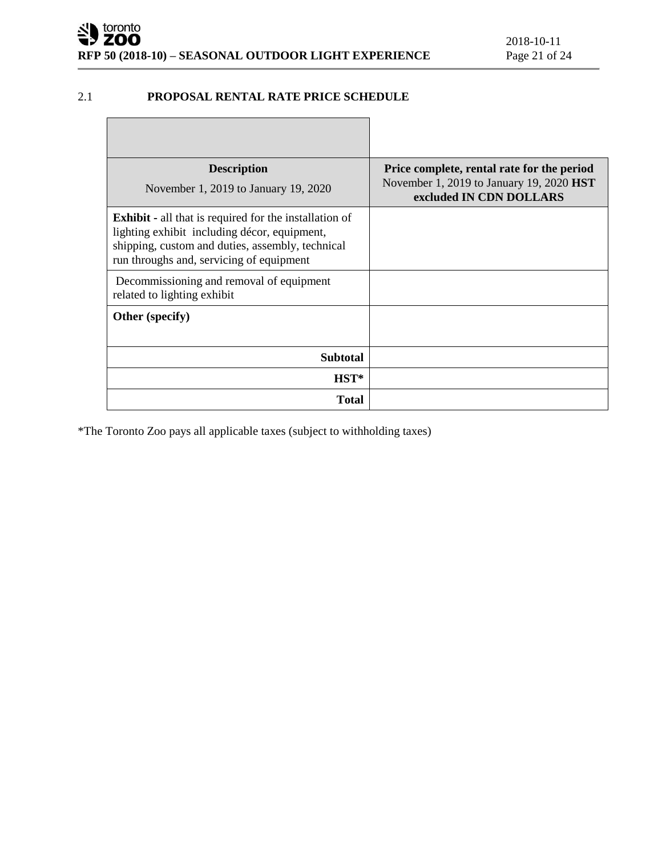# 2.1 **PROPOSAL RENTAL RATE PRICE SCHEDULE**

| <b>Description</b><br>November 1, 2019 to January 19, 2020                                                                                                                                                    | Price complete, rental rate for the period<br>November 1, 2019 to January 19, 2020 <b>HST</b><br>excluded IN CDN DOLLARS |
|---------------------------------------------------------------------------------------------------------------------------------------------------------------------------------------------------------------|--------------------------------------------------------------------------------------------------------------------------|
| <b>Exhibit</b> - all that is required for the installation of<br>lighting exhibit including décor, equipment,<br>shipping, custom and duties, assembly, technical<br>run throughs and, servicing of equipment |                                                                                                                          |
| Decommissioning and removal of equipment<br>related to lighting exhibit                                                                                                                                       |                                                                                                                          |
| Other (specify)                                                                                                                                                                                               |                                                                                                                          |
| <b>Subtotal</b>                                                                                                                                                                                               |                                                                                                                          |
| $HST^*$                                                                                                                                                                                                       |                                                                                                                          |
| <b>Total</b>                                                                                                                                                                                                  |                                                                                                                          |

\*The Toronto Zoo pays all applicable taxes (subject to withholding taxes)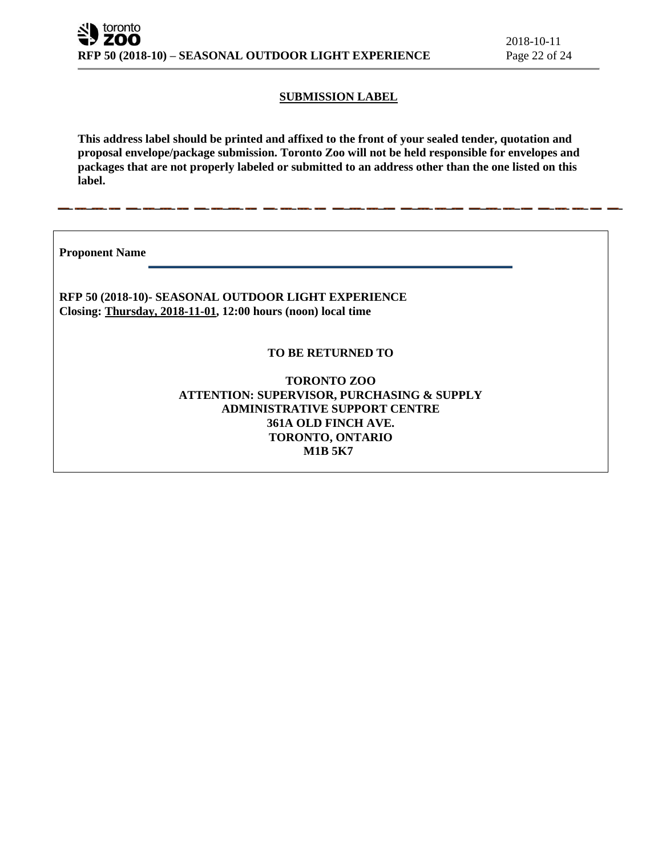# **SUBMISSION LABEL**

**This address label should be printed and affixed to the front of your sealed tender, quotation and proposal envelope/package submission. Toronto Zoo will not be held responsible for envelopes and packages that are not properly labeled or submitted to an address other than the one listed on this label.**

**Proponent Name** 

**RFP 50 (2018-10)- SEASONAL OUTDOOR LIGHT EXPERIENCE Closing: Thursday, 2018-11-01, 12:00 hours (noon) local time**

# **TO BE RETURNED TO**

**TORONTO ZOO ATTENTION: SUPERVISOR, PURCHASING & SUPPLY ADMINISTRATIVE SUPPORT CENTRE 361A OLD FINCH AVE. TORONTO, ONTARIO M1B 5K7**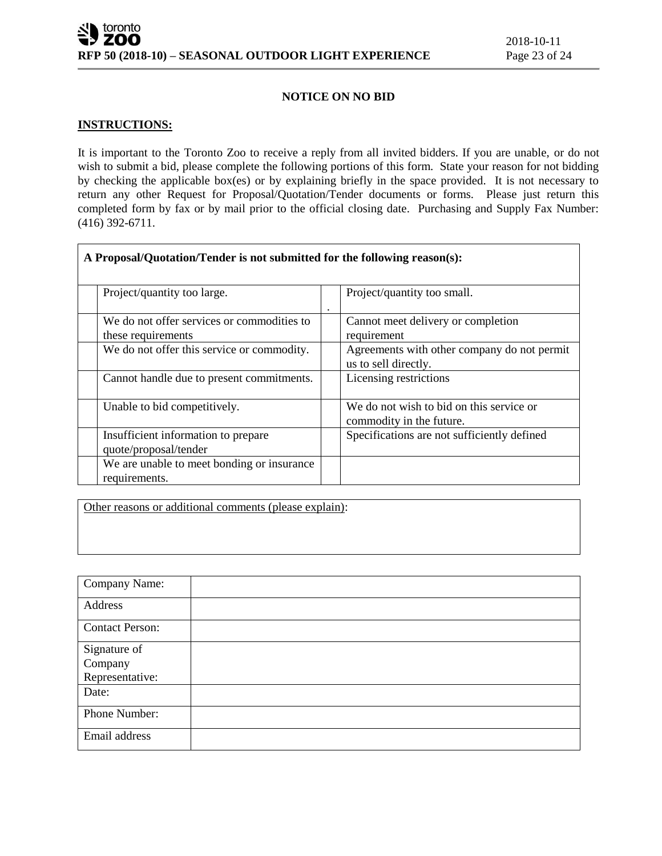## **NOTICE ON NO BID**

# **INSTRUCTIONS:**

It is important to the Toronto Zoo to receive a reply from all invited bidders. If you are unable, or do not wish to submit a bid, please complete the following portions of this form. State your reason for not bidding by checking the applicable box(es) or by explaining briefly in the space provided. It is not necessary to return any other Request for Proposal/Quotation/Tender documents or forms. Please just return this completed form by fax or by mail prior to the official closing date. Purchasing and Supply Fax Number: (416) 392-6711.

| A Proposal/Quotation/Tender is not submitted for the following reason(s): |                                                                      |
|---------------------------------------------------------------------------|----------------------------------------------------------------------|
| Project/quantity too large.                                               | Project/quantity too small.                                          |
| We do not offer services or commodities to<br>these requirements          | Cannot meet delivery or completion<br>requirement                    |
| We do not offer this service or commodity.                                | Agreements with other company do not permit<br>us to sell directly.  |
| Cannot handle due to present commitments.                                 | Licensing restrictions                                               |
| Unable to bid competitively.                                              | We do not wish to bid on this service or<br>commodity in the future. |
| Insufficient information to prepare<br>quote/proposal/tender              | Specifications are not sufficiently defined                          |
| We are unable to meet bonding or insurance<br>requirements.               |                                                                      |

Other reasons or additional comments (please explain):

| Company Name:          |  |
|------------------------|--|
| Address                |  |
| <b>Contact Person:</b> |  |
| Signature of           |  |
| Company                |  |
| Representative:        |  |
| Date:                  |  |
| Phone Number:          |  |
| Email address          |  |